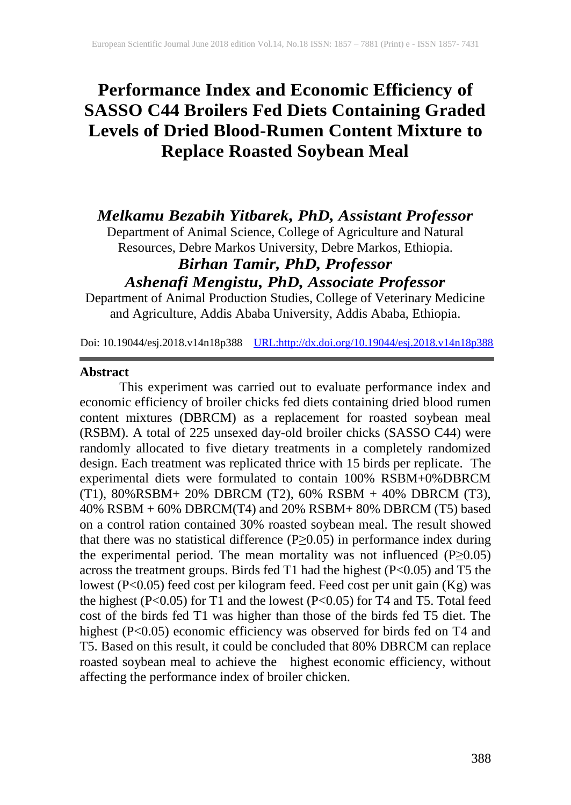# **Performance Index and Economic Efficiency of SASSO C44 Broilers Fed Diets Containing Graded Levels of Dried Blood-Rumen Content Mixture to Replace Roasted Soybean Meal**

## *Melkamu Bezabih Yitbarek, PhD, Assistant Professor*

Department of Animal Science, College of Agriculture and Natural Resources, Debre Markos University, Debre Markos, Ethiopia.

## *Birhan Tamir, PhD, Professor Ashenafi Mengistu, PhD, Associate Professor*

Department of Animal Production Studies, College of Veterinary Medicine and Agriculture, Addis Ababa University, Addis Ababa, Ethiopia.

Doi: 10.19044/esj.2018.v14n18p388 [URL:http://dx.doi.org/10.19044/esj.2018.v14n18p388](http://dx.doi.org/10.19044/esj.2018.v14n18p388)

#### **Abstract**

This experiment was carried out to evaluate performance index and economic efficiency of broiler chicks fed diets containing dried blood rumen content mixtures (DBRCM) as a replacement for roasted soybean meal (RSBM). A total of 225 unsexed day-old broiler chicks (SASSO C44) were randomly allocated to five dietary treatments in a completely randomized design. Each treatment was replicated thrice with 15 birds per replicate. The experimental diets were formulated to contain 100% RSBM+0%DBRCM (T1), 80%RSBM+ 20% DBRCM (T2), 60% RSBM + 40% DBRCM (T3), 40% RSBM + 60% DBRCM(T4) and 20% RSBM+ 80% DBRCM (T5) based on a control ration contained 30% roasted soybean meal. The result showed that there was no statistical difference ( $P \ge 0.05$ ) in performance index during the experimental period. The mean mortality was not influenced  $(P \ge 0.05)$ across the treatment groups. Birds fed T1 had the highest (P<0.05) and T5 the lowest (P<0.05) feed cost per kilogram feed. Feed cost per unit gain (Kg) was the highest (P<0.05) for T1 and the lowest (P<0.05) for T4 and T5. Total feed cost of the birds fed T1 was higher than those of the birds fed T5 diet. The highest (P<0.05) economic efficiency was observed for birds fed on T4 and T5. Based on this result, it could be concluded that 80% DBRCM can replace ro. Based on and resear, a court of contract economic efficiency, without roasted soybean meal to achieve the highest economic efficiency, without affecting the performance index of broiler chicken.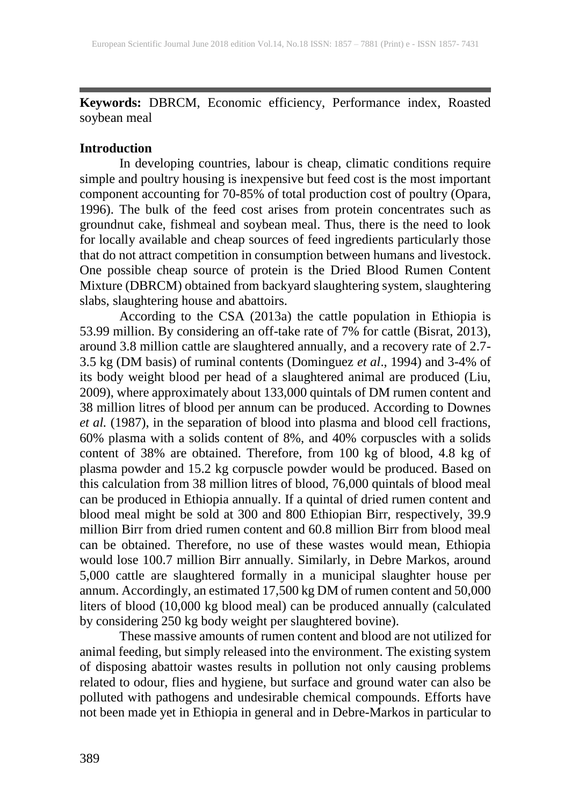**Keywords:** DBRCM, Economic efficiency, Performance index, Roasted soybean meal

#### **Introduction**

In developing countries, labour is cheap, climatic conditions require simple and poultry housing is inexpensive but feed cost is the most important component accounting for 70-85% of total production cost of poultry (Opara, 1996). The bulk of the feed cost arises from protein concentrates such as groundnut cake, fishmeal and soybean meal. Thus, there is the need to look for locally available and cheap sources of feed ingredients particularly those that do not attract competition in consumption between humans and livestock. One possible cheap source of protein is the Dried Blood Rumen Content Mixture (DBRCM) obtained from backyard slaughtering system, slaughtering slabs, slaughtering house and abattoirs.

According to the CSA (2013a) the cattle population in Ethiopia is 53.99 million. By considering an off-take rate of 7% for cattle (Bisrat, 2013), around 3.8 million cattle are slaughtered annually, and a recovery rate of 2.7- 3.5 kg (DM basis) of ruminal contents (Dominguez *et al*., 1994) and 3-4% of its body weight blood per head of a slaughtered animal are produced (Liu, 2009), where approximately about 133,000 quintals of DM rumen content and 38 million litres of blood per annum can be produced. According to Downes *et al.* (1987), in the separation of blood into plasma and blood cell fractions, 60% plasma with a solids content of 8%, and 40% corpuscles with a solids content of 38% are obtained. Therefore, from 100 kg of blood, 4.8 kg of plasma powder and 15.2 kg corpuscle powder would be produced. Based on this calculation from 38 million litres of blood, 76,000 quintals of blood meal can be produced in Ethiopia annually. If a quintal of dried rumen content and blood meal might be sold at 300 and 800 Ethiopian Birr, respectively, 39.9 million Birr from dried rumen content and 60.8 million Birr from blood meal can be obtained. Therefore, no use of these wastes would mean, Ethiopia would lose 100.7 million Birr annually. Similarly, in Debre Markos, around 5,000 cattle are slaughtered formally in a municipal slaughter house per annum. Accordingly, an estimated 17,500 kg DM of rumen content and 50,000 liters of blood (10,000 kg blood meal) can be produced annually (calculated by considering 250 kg body weight per slaughtered bovine).

These massive amounts of rumen content and blood are not utilized for animal feeding, but simply released into the environment. The existing system of disposing abattoir wastes results in pollution not only causing problems related to odour, flies and hygiene, but surface and ground water can also be polluted with pathogens and undesirable chemical compounds. Efforts have not been made yet in Ethiopia in general and in Debre-Markos in particular to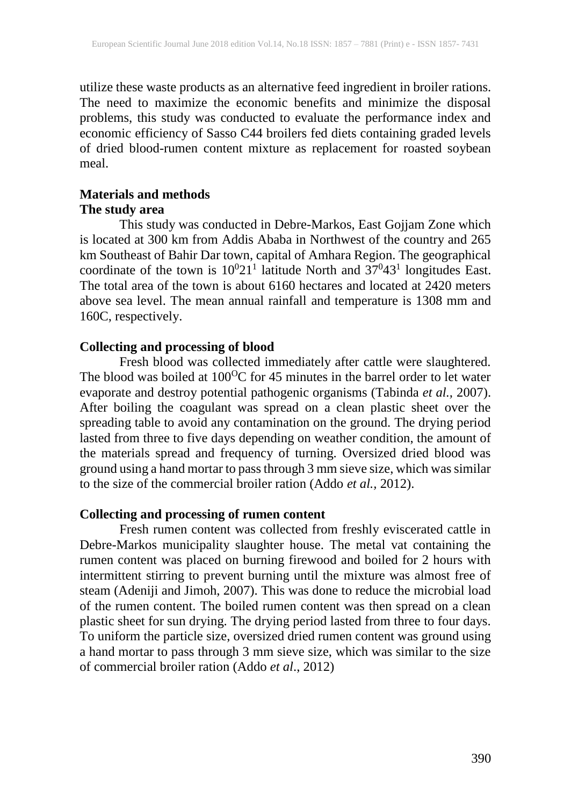utilize these waste products as an alternative feed ingredient in broiler rations. The need to maximize the economic benefits and minimize the disposal problems, this study was conducted to evaluate the performance index and economic efficiency of Sasso C44 broilers fed diets containing graded levels of dried blood-rumen content mixture as replacement for roasted soybean meal.

#### **Materials and methods The study area**

This study was conducted in Debre-Markos, East Gojjam Zone which is located at 300 km from Addis Ababa in Northwest of the country and 265 km Southeast of Bahir Dar town, capital of Amhara Region. The geographical coordinate of the town is  $10^{0}21^{1}$  latitude North and  $37^{0}43^{1}$  longitudes East. The total area of the town is about 6160 hectares and located at 2420 meters above sea level. The mean annual rainfall and temperature is 1308 mm and 160C, respectively.

## **Collecting and processing of blood**

Fresh blood was collected immediately after cattle were slaughtered. The blood was boiled at  $100^{\circ}$ C for 45 minutes in the barrel order to let water evaporate and destroy potential pathogenic organisms (Tabinda *et al.,* 2007). After boiling the coagulant was spread on a clean plastic sheet over the spreading table to avoid any contamination on the ground. The drying period lasted from three to five days depending on weather condition, the amount of the materials spread and frequency of turning. Oversized dried blood was ground using a hand mortar to pass through 3 mm sieve size, which was similar to the size of the commercial broiler ration (Addo *et al.,* 2012).

## **Collecting and processing of rumen content**

Fresh rumen content was collected from freshly eviscerated cattle in Debre-Markos municipality slaughter house. The metal vat containing the rumen content was placed on burning firewood and boiled for 2 hours with intermittent stirring to prevent burning until the mixture was almost free of steam (Adeniji and Jimoh, 2007). This was done to reduce the microbial load of the rumen content. The boiled rumen content was then spread on a clean plastic sheet for sun drying. The drying period lasted from three to four days. To uniform the particle size, oversized dried rumen content was ground using a hand mortar to pass through 3 mm sieve size, which was similar to the size of commercial broiler ration (Addo *et al*., 2012)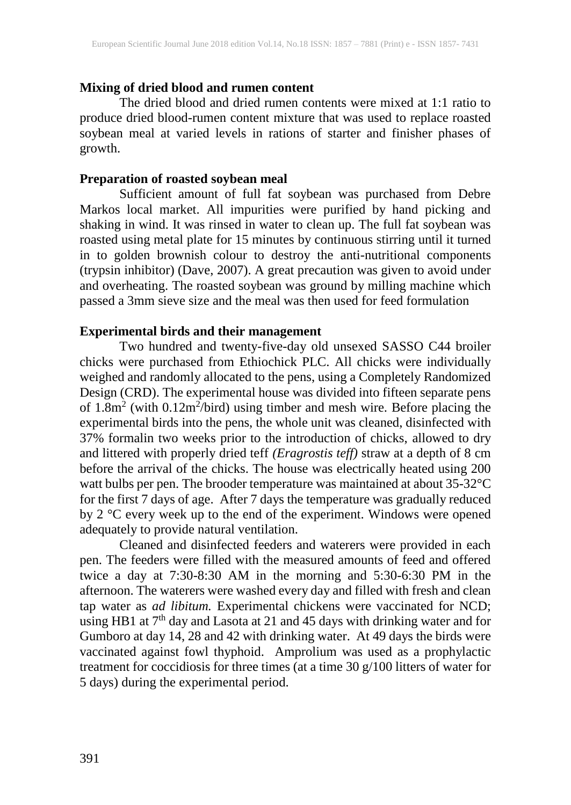## **Mixing of dried blood and rumen content**

The dried blood and dried rumen contents were mixed at 1:1 ratio to produce dried blood-rumen content mixture that was used to replace roasted soybean meal at varied levels in rations of starter and finisher phases of growth.

### **Preparation of roasted soybean meal**

Sufficient amount of full fat soybean was purchased from Debre Markos local market. All impurities were purified by hand picking and shaking in wind. It was rinsed in water to clean up. The full fat soybean was roasted using metal plate for 15 minutes by continuous stirring until it turned in to golden brownish colour to destroy the anti-nutritional components (trypsin inhibitor) (Dave, 2007). A great precaution was given to avoid under and overheating. The roasted soybean was ground by milling machine which passed a 3mm sieve size and the meal was then used for feed formulation

#### **Experimental birds and their management**

Two hundred and twenty-five-day old unsexed SASSO C44 broiler chicks were purchased from Ethiochick PLC. All chicks were individually weighed and randomly allocated to the pens, using a Completely Randomized Design (CRD). The experimental house was divided into fifteen separate pens of  $1.8m<sup>2</sup>$  (with  $0.12m<sup>2</sup>/bird$ ) using timber and mesh wire. Before placing the experimental birds into the pens, the whole unit was cleaned, disinfected with 37% formalin two weeks prior to the introduction of chicks, allowed to dry and littered with properly dried teff *(Eragrostis teff)* straw at a depth of 8 cm before the arrival of the chicks. The house was electrically heated using 200 watt bulbs per pen. The brooder temperature was maintained at about 35-32°C for the first 7 days of age. After 7 days the temperature was gradually reduced by 2 °C every week up to the end of the experiment. Windows were opened adequately to provide natural ventilation.

Cleaned and disinfected feeders and waterers were provided in each pen. The feeders were filled with the measured amounts of feed and offered twice a day at 7:30-8:30 AM in the morning and 5:30-6:30 PM in the afternoon. The waterers were washed every day and filled with fresh and clean tap water as *ad libitum.* Experimental chickens were vaccinated for NCD; using HB1 at  $7<sup>th</sup>$  day and Lasota at 21 and 45 days with drinking water and for Gumboro at day 14, 28 and 42 with drinking water. At 49 days the birds were vaccinated against fowl thyphoid. Amprolium was used as a prophylactic treatment for coccidiosis for three times (at a time 30 g/100 litters of water for 5 days) during the experimental period.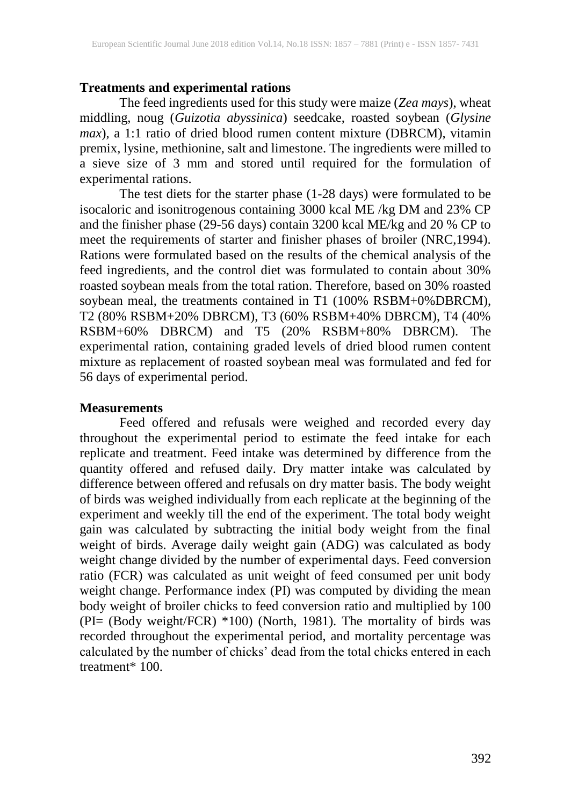#### **Treatments and experimental rations**

The feed ingredients used for this study were maize (*Zea mays*), wheat middling, noug (*Guizotia abyssinica*) seedcake, roasted soybean (*Glysine max*), a 1:1 ratio of dried blood rumen content mixture (DBRCM), vitamin premix, lysine, methionine, salt and limestone. The ingredients were milled to a sieve size of 3 mm and stored until required for the formulation of experimental rations.

The test diets for the starter phase (1-28 days) were formulated to be isocaloric and isonitrogenous containing 3000 kcal ME /kg DM and 23% CP and the finisher phase (29-56 days) contain 3200 kcal ME/kg and 20 % CP to meet the requirements of starter and finisher phases of broiler (NRC,1994). Rations were formulated based on the results of the chemical analysis of the feed ingredients, and the control diet was formulated to contain about 30% roasted soybean meals from the total ration. Therefore, based on 30% roasted soybean meal, the treatments contained in T1 (100% RSBM+0%DBRCM), T2 (80% RSBM+20% DBRCM), T3 (60% RSBM+40% DBRCM), T4 (40% RSBM+60% DBRCM) and T5 (20% RSBM+80% DBRCM). The experimental ration, containing graded levels of dried blood rumen content mixture as replacement of roasted soybean meal was formulated and fed for 56 days of experimental period.

#### **Measurements**

Feed offered and refusals were weighed and recorded every day throughout the experimental period to estimate the feed intake for each replicate and treatment. Feed intake was determined by difference from the quantity offered and refused daily. Dry matter intake was calculated by difference between offered and refusals on dry matter basis. The body weight of birds was weighed individually from each replicate at the beginning of the experiment and weekly till the end of the experiment. The total body weight gain was calculated by subtracting the initial body weight from the final weight of birds. Average daily weight gain (ADG) was calculated as body weight change divided by the number of experimental days. Feed conversion ratio (FCR) was calculated as unit weight of feed consumed per unit body weight change. Performance index (PI) was computed by dividing the mean body weight of broiler chicks to feed conversion ratio and multiplied by 100 (PI= (Body weight/FCR) \*100) (North, 1981). The mortality of birds was recorded throughout the experimental period, and mortality percentage was calculated by the number of chicks' dead from the total chicks entered in each treatment\* 100.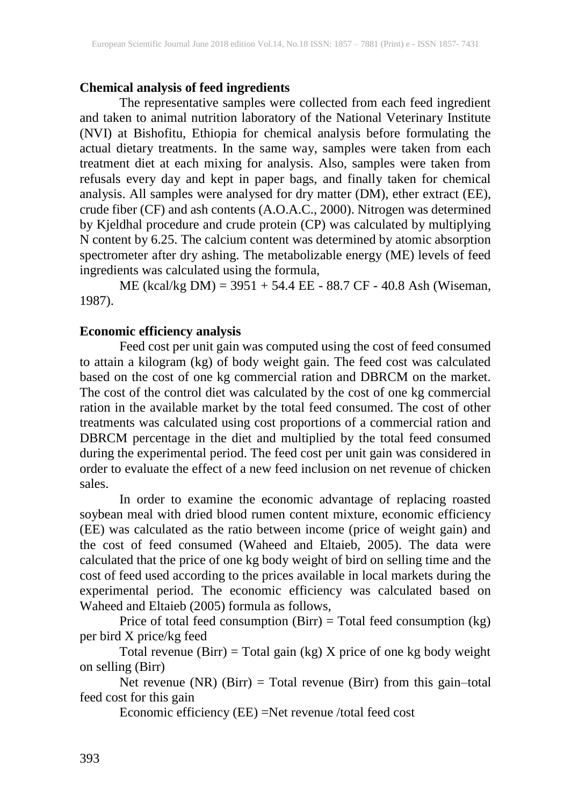#### **Chemical analysis of feed ingredients**

The representative samples were collected from each feed ingredient and taken to animal nutrition laboratory of the National Veterinary Institute (NVI) at Bishofitu, Ethiopia for chemical analysis before formulating the actual dietary treatments. In the same way, samples were taken from each treatment diet at each mixing for analysis. Also, samples were taken from refusals every day and kept in paper bags, and finally taken for chemical analysis. All samples were analysed for dry matter (DM), ether extract (EE), crude fiber (CF) and ash contents (A.O.A.C., 2000). Nitrogen was determined by Kjeldhal procedure and crude protein (CP) was calculated by multiplying N content by 6.25. The calcium content was determined by atomic absorption spectrometer after dry ashing. The metabolizable energy (ME) levels of feed ingredients was calculated using the formula,

ME (kcal/kg DM) = 3951 + 54.4 EE - 88.7 CF - 40.8 Ash (Wiseman, 1987).

## **Economic efficiency analysis**

Feed cost per unit gain was computed using the cost of feed consumed to attain a kilogram (kg) of body weight gain. The feed cost was calculated based on the cost of one kg commercial ration and DBRCM on the market. The cost of the control diet was calculated by the cost of one kg commercial ration in the available market by the total feed consumed. The cost of other treatments was calculated using cost proportions of a commercial ration and DBRCM percentage in the diet and multiplied by the total feed consumed during the experimental period. The feed cost per unit gain was considered in order to evaluate the effect of a new feed inclusion on net revenue of chicken sales.

In order to examine the economic advantage of replacing roasted soybean meal with dried blood rumen content mixture, economic efficiency (EE) was calculated as the ratio between income (price of weight gain) and the cost of feed consumed (Waheed and Eltaieb, 2005). The data were calculated that the price of one kg body weight of bird on selling time and the cost of feed used according to the prices available in local markets during the experimental period. The economic efficiency was calculated based on Waheed and Eltaieb (2005) formula as follows,

Price of total feed consumption  $(Birr) = Total feed consumption (kg)$ per bird X price/kg feed

Total revenue (Birr) = Total gain (kg)  $X$  price of one kg body weight on selling (Birr)

Net revenue (NR) (Birr) = Total revenue (Birr) from this gain–total feed cost for this gain

Economic efficiency (EE) =Net revenue /total feed cost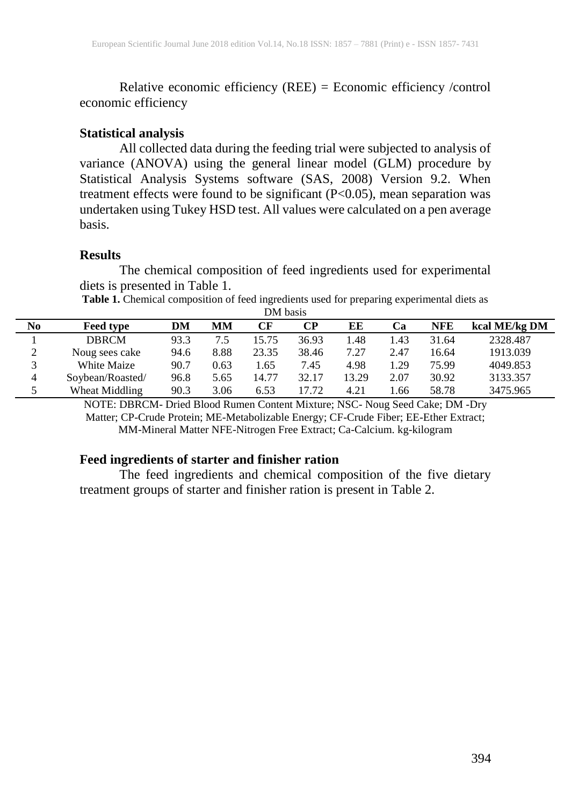Relative economic efficiency (REE) = Economic efficiency /control economic efficiency

#### **Statistical analysis**

All collected data during the feeding trial were subjected to analysis of variance (ANOVA) using the general linear model (GLM) procedure by Statistical Analysis Systems software (SAS, 2008) Version 9.2. When treatment effects were found to be significant (P<0.05), mean separation was undertaken using Tukey HSD test. All values were calculated on a pen average basis.

#### **Results**

The chemical composition of feed ingredients used for experimental diets is presented in Table 1.

**Table 1.** Chemical composition of feed ingredients used for preparing experimental diets as DM basis

| No     | <b>Feed type</b> | DM   | <b>MM</b> | CF    | CР    | ЕE    | Ca   | <b>NFE</b> | kcal ME/kg DM |
|--------|------------------|------|-----------|-------|-------|-------|------|------------|---------------|
|        | <b>DBRCM</b>     | 93.3 | 7.5       | 15.75 | 36.93 | 1.48  | l.43 | 31.64      | 2328.487      |
| ◠<br>∠ | Noug sees cake   | 94.6 | 8.88      | 23.35 | 38.46 | 7.27  | 2.47 | 16.64      | 1913.039      |
|        | White Maize      | 90.7 | 0.63      | .65   | 7.45  | 4.98  | .29  | 75.99      | 4049.853      |
| 4      | Soybean/Roasted/ | 96.8 | 5.65      | 14.77 | 32.17 | 13.29 | 2.07 | 30.92      | 3133.357      |
| 5      | Wheat Middling   | 90.3 | 3.06      | 6.53  | 17 72 | 4.21  | .66  | 58.78      | 3475.965      |

NOTE: DBRCM- Dried Blood Rumen Content Mixture; NSC- Noug Seed Cake; DM -Dry Matter; CP-Crude Protein; ME-Metabolizable Energy; CF-Crude Fiber; EE-Ether Extract; MM-Mineral Matter NFE-Nitrogen Free Extract; Ca-Calcium. kg-kilogram

#### **Feed ingredients of starter and finisher ration**

The feed ingredients and chemical composition of the five dietary treatment groups of starter and finisher ration is present in Table 2.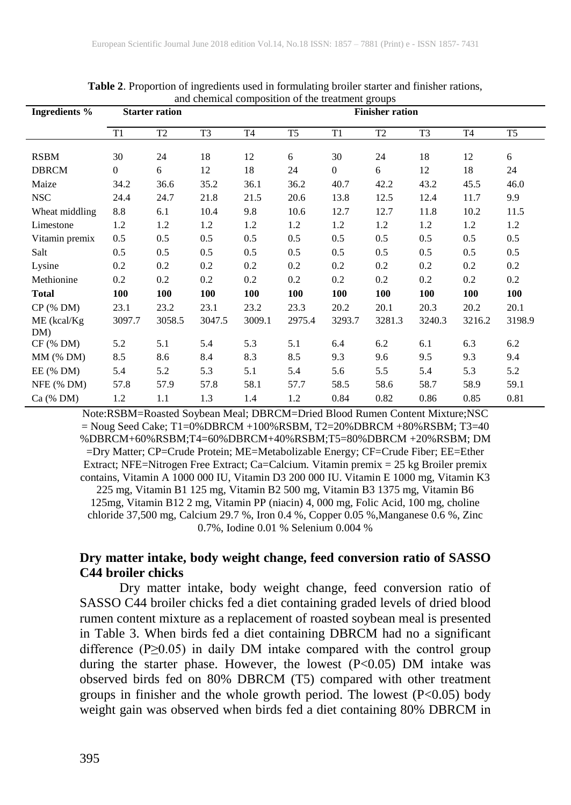| and chemical composition of the treatment groups |                       |                |                |                |                |                  |                        |                |                |                |
|--------------------------------------------------|-----------------------|----------------|----------------|----------------|----------------|------------------|------------------------|----------------|----------------|----------------|
| <b>Ingredients %</b>                             | <b>Starter ration</b> |                |                |                |                |                  | <b>Finisher ration</b> |                |                |                |
|                                                  | T1                    | T <sub>2</sub> | T <sub>3</sub> | T <sub>4</sub> | T <sub>5</sub> | T <sub>1</sub>   | T <sub>2</sub>         | T <sub>3</sub> | T <sub>4</sub> | T <sub>5</sub> |
| <b>RSBM</b>                                      | 30                    | 24             | 18             | 12             | 6              | 30               | 24                     | 18             | 12             | 6              |
| <b>DBRCM</b>                                     | $\boldsymbol{0}$      | 6              | 12             | 18             | 24             | $\boldsymbol{0}$ | 6                      | 12             | 18             | 24             |
| Maize                                            | 34.2                  | 36.6           | 35.2           | 36.1           | 36.2           | 40.7             | 42.2                   | 43.2           | 45.5           | 46.0           |
| <b>NSC</b>                                       | 24.4                  | 24.7           | 21.8           | 21.5           | 20.6           | 13.8             | 12.5                   | 12.4           | 11.7           | 9.9            |
| Wheat middling                                   | 8.8                   | 6.1            | 10.4           | 9.8            | 10.6           | 12.7             | 12.7                   | 11.8           | 10.2           | 11.5           |
| Limestone                                        | 1.2                   | 1.2            | 1.2            | 1.2            | 1.2            | 1.2              | 1.2                    | 1.2            | 1.2            | 1.2            |
| Vitamin premix                                   | 0.5                   | 0.5            | 0.5            | 0.5            | 0.5            | 0.5              | 0.5                    | 0.5            | 0.5            | 0.5            |
| Salt                                             | 0.5                   | 0.5            | 0.5            | 0.5            | 0.5            | 0.5              | 0.5                    | 0.5            | 0.5            | 0.5            |
| Lysine                                           | 0.2                   | 0.2            | 0.2            | 0.2            | 0.2            | 0.2              | 0.2                    | 0.2            | 0.2            | 0.2            |
| Methionine                                       | 0.2                   | 0.2            | 0.2            | 0.2            | 0.2            | 0.2              | 0.2                    | 0.2            | 0.2            | 0.2            |
| <b>Total</b>                                     | <b>100</b>            | 100            | 100            | 100            | 100            | 100              | 100                    | 100            | 100            | <b>100</b>     |
| $CP$ (% DM)                                      | 23.1                  | 23.2           | 23.1           | 23.2           | 23.3           | 20.2             | 20.1                   | 20.3           | 20.2           | 20.1           |
| $ME$ (kcal/ $Kg$ )                               | 3097.7                | 3058.5         | 3047.5         | 3009.1         | 2975.4         | 3293.7           | 3281.3                 | 3240.3         | 3216.2         | 3198.9         |
| DM)                                              |                       |                |                |                |                |                  |                        |                |                |                |
| $CF$ (% DM)                                      | 5.2                   | 5.1            | 5.4            | 5.3            | 5.1            | 6.4              | 6.2                    | 6.1            | 6.3            | 6.2            |
| $MM$ (% DM)                                      | 8.5                   | 8.6            | 8.4            | 8.3            | 8.5            | 9.3              | 9.6                    | 9.5            | 9.3            | 9.4            |
| $EE$ (% DM)                                      | 5.4                   | 5.2            | 5.3            | 5.1            | 5.4            | 5.6              | 5.5                    | 5.4            | 5.3            | 5.2            |
| $NFE$ (% DM)                                     | 57.8                  | 57.9           | 57.8           | 58.1           | 57.7           | 58.5             | 58.6                   | 58.7           | 58.9           | 59.1           |
| Ca (% DM)                                        | 1.2                   | 1.1            | 1.3            | 1.4            | 1.2            | 0.84             | 0.82                   | 0.86           | 0.85           | 0.81           |

**Table 2**. Proportion of ingredients used in formulating broiler starter and finisher rations,

Note:RSBM=Roasted Soybean Meal; DBRCM=Dried Blood Rumen Content Mixture;NSC  $=$  Noug Seed Cake; T1=0%DBRCM +100%RSBM, T2=20%DBRCM +80%RSBM; T3=40 %DBRCM+60%RSBM;T4=60%DBRCM+40%RSBM;T5=80%DBRCM +20%RSBM; DM =Dry Matter; CP=Crude Protein; ME=Metabolizable Energy; CF=Crude Fiber; EE=Ether Extract; NFE=Nitrogen Free Extract; Ca=Calcium. Vitamin premix = 25 kg Broiler premix contains, Vitamin A 1000 000 IU, Vitamin D3 200 000 IU. Vitamin E 1000 mg, Vitamin K3 225 mg, Vitamin B1 125 mg, Vitamin B2 500 mg, Vitamin B3 1375 mg, Vitamin B6 125mg, Vitamin B12 2 mg, Vitamin PP (niacin) 4, 000 mg, Folic Acid, 100 mg, choline chloride 37,500 mg, Calcium 29.7 %, Iron 0.4 %, Copper 0.05 %,Manganese 0.6 %, Zinc 0.7%, Iodine 0.01 % Selenium 0.004 %

## **Dry matter intake, body weight change, feed conversion ratio of SASSO C44 broiler chicks**

Dry matter intake, body weight change, feed conversion ratio of SASSO C44 broiler chicks fed a diet containing graded levels of dried blood rumen content mixture as a replacement of roasted soybean meal is presented in Table 3. When birds fed a diet containing DBRCM had no a significant difference (P≥0.05) in daily DM intake compared with the control group during the starter phase. However, the lowest (P<0.05) DM intake was observed birds fed on 80% DBRCM (T5) compared with other treatment groups in finisher and the whole growth period. The lowest (P<0.05) body weight gain was observed when birds fed a diet containing 80% DBRCM in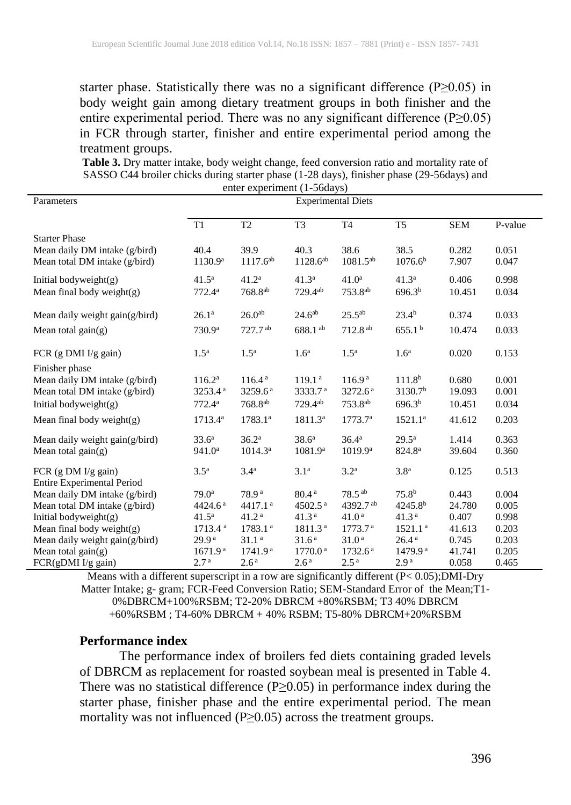starter phase. Statistically there was no a significant difference (P≥0.05) in body weight gain among dietary treatment groups in both finisher and the entire experimental period. There was no any significant difference (P≥0.05) in FCR through starter, finisher and entire experimental period among the treatment groups.

**Table 3.** Dry matter intake, body weight change, feed conversion ratio and mortality rate of SASSO C44 broiler chicks during starter phase (1-28 days), finisher phase (29-56days) and enter experiment (1-56days)

| Parameters<br><b>Experimental Diets</b><br>T <sub>2</sub><br>T1<br>T <sub>3</sub><br>T <sub>4</sub><br>T <sub>5</sub><br><b>SEM</b><br>P-value<br><b>Starter Phase</b>           |  |
|----------------------------------------------------------------------------------------------------------------------------------------------------------------------------------|--|
|                                                                                                                                                                                  |  |
|                                                                                                                                                                                  |  |
|                                                                                                                                                                                  |  |
| 38.5<br>39.9<br>40.3<br>38.6<br>0.282<br>0.051<br>Mean daily DM intake (g/bird)<br>40.4                                                                                          |  |
| $1117.6^{ab}$<br>$1128.6^{ab}$<br>$1081.5^{ab}$<br>1130.9 <sup>a</sup><br>1076.6 <sup>b</sup><br>Mean total DM intake (g/bird)<br>7.907<br>0.047                                 |  |
| $41.2^{\rm a}$<br>41.3 <sup>a</sup><br>$41.0^{\rm a}$<br>41.3 <sup>a</sup><br>$41.5^{\rm a}$<br>0.406<br>0.998<br>Initial bodyweight(g)                                          |  |
| 729.4ab<br>753.8 <sup>ab</sup><br>768.8 <sup>ab</sup><br>696.3 <sup>b</sup><br>10.451<br>0.034<br>Mean final body weight $(g)$<br>772.4a                                         |  |
| 26.0 <sup>ab</sup><br>$24.6^{ab}$<br>$25.5^{ab}$<br>$23.4^{b}$<br>0.033<br>$26.1^{\rm a}$<br>0.374<br>Mean daily weight $gain(g/bird)$                                           |  |
| 688.1 <sup>ab</sup><br>$712.8^{ab}$<br>655.1 <sup>b</sup><br>0.033<br>730.9 <sup>a</sup><br>$727.7$ <sup>ab</sup><br>10.474<br>Mean total gain $(g)$                             |  |
| 1.5 <sup>a</sup><br>1.5 <sup>a</sup><br>1.6 <sup>a</sup><br>1.5 <sup>a</sup><br>1.6 <sup>a</sup><br>0.020<br>0.153<br>FCR $(g$ DMI I/g gain)                                     |  |
| Finisher phase                                                                                                                                                                   |  |
| 116.4 <sup>a</sup><br>119.1 <sup>a</sup><br>116.9 <sup>a</sup><br>111.8 <sup>b</sup><br>0.001<br>Mean daily DM intake (g/bird)<br>$116.2^a$<br>0.680                             |  |
| Mean total DM intake (g/bird)<br>3253.4 <sup>a</sup><br>3259.6 <sup>a</sup><br>3333.7 <sup>a</sup><br>3272.6 <sup>a</sup><br>3130.7 <sup>b</sup><br>19.093<br>0.001              |  |
| $729.4^{ab}$<br>753.8 <sup>ab</sup><br>Initial bodyweight $(g)$<br>$768.8^{ab}$<br>696.3 <sup>b</sup><br>0.034<br>$772.4^{\rm a}$<br>10.451                                      |  |
| 0.203<br>Mean final body weight $(g)$<br>$1713.4^{\rm a}$<br>$1783.1^{a}$<br>1811.3 <sup>a</sup><br>1773.7 <sup>a</sup><br>$1521.1^a$<br>41.612                                  |  |
| 33.6 <sup>a</sup><br>36.2 <sup>a</sup><br>$38.6^{\rm a}$<br>$36.4^{\rm a}$<br>$29.5^{\rm a}$<br>0.363<br>Mean daily weight gain(g/bird)<br>1.414                                 |  |
| 1081.9 <sup>a</sup><br>Mean total gain $(g)$<br>941.0 <sup>a</sup><br>$1014.3^{\rm a}$<br>1019.9 <sup>a</sup><br>824.8 <sup>a</sup><br>0.360<br>39.604                           |  |
| 3.4 <sup>a</sup><br>3.1 <sup>a</sup><br>3.2 <sup>a</sup><br>3.8 <sup>a</sup><br>0.513<br>3.5 <sup>a</sup><br>0.125<br>FCR $(g DM I/g gain)$<br><b>Entire Experimental Period</b> |  |
| 75.8 <sup>b</sup><br>Mean daily DM intake (g/bird)<br>80.4 <sup>a</sup><br>$78.5^{ab}$<br>78.9 <sup>a</sup><br>0.443<br>0.004<br>$79.0^{\circ}$                                  |  |
| Mean total DM intake (g/bird)<br>4502.5 $a$<br>4392.7 <sup>ab</sup><br>$4245.8^{b}$<br>0.005<br>4424.6 <sup>a</sup><br>4417.1 <sup>a</sup><br>24.780                             |  |
| Initial bodyweight(g)<br>41.2 <sup>a</sup><br>41.3 <sup>a</sup><br>41.0 <sup>a</sup><br>41.3 <sup>a</sup><br>0.407<br>0.998<br>$41.5^{\rm a}$                                    |  |
| 1783.1 <sup>a</sup><br>1811.3 <sup>a</sup><br>1521.1 <sup>a</sup><br>0.203<br>Mean final body weight(g)<br>1713.4 <sup>a</sup><br>1773.7 <sup>a</sup><br>41.613                  |  |
| 31.6 <sup>a</sup><br>26.4 <sup>a</sup><br>29.9 <sup>a</sup><br>31.1 <sup>a</sup><br>31.0 <sup>a</sup><br>0.203<br>Mean daily weight gain(g/bird)<br>0.745                        |  |
| 1741.9 <sup>a</sup><br>Mean total gain $(g)$<br>1671.9 <sup>a</sup><br>1770.0 <sup>a</sup><br>1732.6 <sup>a</sup><br>1479.9 <sup>a</sup><br>41.741<br>0.205                      |  |
| 2.7 <sup>a</sup><br>2.6 <sup>a</sup><br>FCR(gDMI I/g gain)<br>2.6 <sup>a</sup><br>$2.5^{\rm a}$<br>2.9 <sup>a</sup><br>0.058<br>0.465                                            |  |

Means with a different superscript in a row are significantly different (P< 0.05);DMI-Dry Matter Intake; g- gram; FCR-Feed Conversion Ratio; SEM-Standard Error of the Mean;T1- 0%DBRCM+100%RSBM; T2-20% DBRCM +80%RSBM; T3 40% DBRCM +60%RSBM ; T4-60% DBRCM + 40% RSBM; T5-80% DBRCM+20%RSBM

#### **Performance index**

The performance index of broilers fed diets containing graded levels of DBRCM as replacement for roasted soybean meal is presented in Table 4. There was no statistical difference ( $P \ge 0.05$ ) in performance index during the starter phase, finisher phase and the entire experimental period. The mean mortality was not influenced (P≥0.05) across the treatment groups.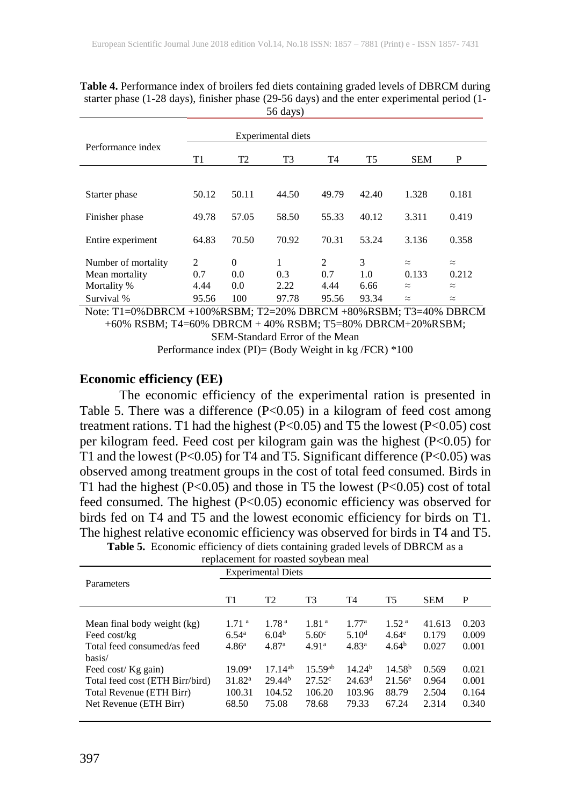|                     |                | Experimental diets |       |                |                |            |           |
|---------------------|----------------|--------------------|-------|----------------|----------------|------------|-----------|
| Performance index   | T <sub>1</sub> | T <sub>2</sub>     | T3    | T <sub>4</sub> | T <sub>5</sub> | <b>SEM</b> | P         |
|                     |                |                    |       |                |                |            |           |
| Starter phase       | 50.12          | 50.11              | 44.50 | 49.79          | 42.40          | 1.328      | 0.181     |
| Finisher phase      | 49.78          | 57.05              | 58.50 | 55.33          | 40.12          | 3.311      | 0.419     |
| Entire experiment   | 64.83          | 70.50              | 70.92 | 70.31          | 53.24          | 3.136      | 0.358     |
| Number of mortality | $\overline{c}$ | $\Omega$           | 1     | $\overline{c}$ | 3              | $\approx$  | $\approx$ |
| Mean mortality      | 0.7            | 0.0                | 0.3   | 0.7            | 1.0            | 0.133      | 0.212     |
| Mortality %         | 4.44           | 0.0                | 2.22  | 4.44           | 6.66           | $\approx$  | $\approx$ |
| Survival %          | 95.56          | 100                | 97.78 | 95.56          | 93.34          | $\approx$  | $\approx$ |

**Table 4.** Performance index of broilers fed diets containing graded levels of DBRCM during starter phase (1-28 days), finisher phase (29-56 days) and the enter experimental period (1- 56 days)

Note: T1=0%DBRCM +100%RSBM; T2=20% DBRCM +80%RSBM; T3=40% DBRCM +60% RSBM; T4=60% DBRCM + 40% RSBM; T5=80% DBRCM+20%RSBM;

SEM-Standard Error of the Mean

Performance index (PI)= (Body Weight in kg /FCR) \*100

#### **Economic efficiency (EE)**

The economic efficiency of the experimental ration is presented in Table 5. There was a difference  $(P<0.05)$  in a kilogram of feed cost among treatment rations. T1 had the highest (P<0.05) and T5 the lowest (P<0.05) cost per kilogram feed. Feed cost per kilogram gain was the highest (P<0.05) for T1 and the lowest (P<0.05) for T4 and T5. Significant difference (P<0.05) was observed among treatment groups in the cost of total feed consumed. Birds in T1 had the highest  $(P<0.05)$  and those in T5 the lowest  $(P<0.05)$  cost of total feed consumed. The highest (P<0.05) economic efficiency was observed for birds fed on T4 and T5 and the lowest economic efficiency for birds on T1. The highest relative economic efficiency was observed for birds in T4 and T5.

| Table 5. Economic efficiency of diets containing graded levels of DBRCM as a |  |  |
|------------------------------------------------------------------------------|--|--|
|------------------------------------------------------------------------------|--|--|

| replacement for foasted sovbeam mean |                    |                    |                   |                    |                    |            |       |  |  |  |
|--------------------------------------|--------------------|--------------------|-------------------|--------------------|--------------------|------------|-------|--|--|--|
| <b>Experimental Diets</b>            |                    |                    |                   |                    |                    |            |       |  |  |  |
| Parameters                           |                    |                    |                   |                    |                    |            |       |  |  |  |
|                                      | T1                 | T <sub>2</sub>     | T3                | T4                 | T <sub>5</sub>     | <b>SEM</b> | P     |  |  |  |
|                                      |                    |                    |                   |                    |                    |            |       |  |  |  |
| Mean final body weight (kg)          | 1.71 <sup>a</sup>  | 1.78 <sup>a</sup>  | 1.81 <sup>a</sup> | 1.77 <sup>a</sup>  | 1.52 <sup>a</sup>  | 41.613     | 0.203 |  |  |  |
| Feed cost/kg                         | 6.54 <sup>a</sup>  | 6.04 <sup>b</sup>  | 5.60 <sup>c</sup> | 5.10 <sup>d</sup>  | 4.64 <sup>e</sup>  | 0.179      | 0.009 |  |  |  |
| Total feed consumed/as feed          | 4.86 <sup>a</sup>  | 4.87 <sup>a</sup>  | 4.91 <sup>a</sup> | 4.83 <sup>a</sup>  | 4.64 <sup>b</sup>  | 0.027      | 0.001 |  |  |  |
| basis/                               |                    |                    |                   |                    |                    |            |       |  |  |  |
| Feed cost/ Kg gain)                  | 19.09 <sup>a</sup> | $17.14^{ab}$       | $15.59^{ab}$      | 14.24 <sup>b</sup> | 14.58 <sup>b</sup> | 0.569      | 0.021 |  |  |  |
| Total feed cost (ETH Birr/bird)      | 31.82 <sup>a</sup> | 29.44 <sup>b</sup> | $27.52^{\circ}$   | 24.63 <sup>d</sup> | $21.56^e$          | 0.964      | 0.001 |  |  |  |
| Total Revenue (ETH Birr)             | 100.31             | 104.52             | 106.20            | 103.96             | 88.79              | 2.504      | 0.164 |  |  |  |
| Net Revenue (ETH Birr)               | 68.50              | 75.08              | 78.68             | 79.33              | 67.24              | 2.314      | 0.340 |  |  |  |
|                                      |                    |                    |                   |                    |                    |            |       |  |  |  |

replacement for roasted soybean meal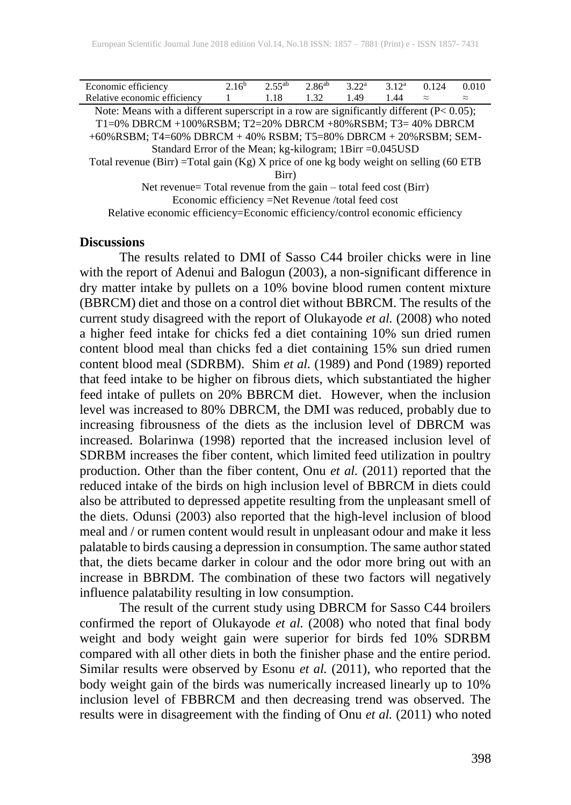| Economic efficiency                                                                         | 2.16 <sup>b</sup> | $2.55^{ab}$ | 2.86 <sup>ab</sup> | 3.22 <sup>a</sup> | 3.12 <sup>a</sup> | 0.124     | 0.010     |  |  |
|---------------------------------------------------------------------------------------------|-------------------|-------------|--------------------|-------------------|-------------------|-----------|-----------|--|--|
| Relative economic efficiency                                                                |                   | 1.18        | 1.32               | 1.49              | 1.44              | $\approx$ | $\approx$ |  |  |
| Note: Means with a different superscript in a row are significantly different $(P< 0.05)$ ; |                   |             |                    |                   |                   |           |           |  |  |
| T1=0% DBRCM +100%RSBM; T2=20% DBRCM +80%RSBM; T3=40% DBRCM                                  |                   |             |                    |                   |                   |           |           |  |  |
| +60%RSBM; T4=60% DBRCM + 40% RSBM; T5=80% DBRCM + 20%RSBM; SEM-                             |                   |             |                    |                   |                   |           |           |  |  |
| Standard Error of the Mean; kg-kilogram; 1Birr = 0.045 USD                                  |                   |             |                    |                   |                   |           |           |  |  |
| Total revenue (Birr) = Total gain (Kg) X price of one kg body weight on selling (60 ETB     |                   |             |                    |                   |                   |           |           |  |  |
| Birr)                                                                                       |                   |             |                    |                   |                   |           |           |  |  |
| Net revenue $\equiv$ Total revenue from the gain $=$ total feed cost (Birr)                 |                   |             |                    |                   |                   |           |           |  |  |

 $=$  1 otal revenue from the gain – total feed cost (Birr) Economic efficiency =Net Revenue /total feed cost

Relative economic efficiency=Economic efficiency/control economic efficiency

#### **Discussions**

The results related to DMI of Sasso C44 broiler chicks were in line with the report of Adenui and Balogun (2003), a non-significant difference in dry matter intake by pullets on a 10% bovine blood rumen content mixture (BBRCM) diet and those on a control diet without BBRCM. The results of the current study disagreed with the report of Olukayode *et al.* (2008) who noted a higher feed intake for chicks fed a diet containing 10% sun dried rumen content blood meal than chicks fed a diet containing 15% sun dried rumen content blood meal (SDRBM). Shim *et al.* (1989) and Pond (1989) reported that feed intake to be higher on fibrous diets, which substantiated the higher feed intake of pullets on 20% BBRCM diet. However, when the inclusion level was increased to 80% DBRCM, the DMI was reduced, probably due to increasing fibrousness of the diets as the inclusion level of DBRCM was increased. Bolarinwa (1998) reported that the increased inclusion level of SDRBM increases the fiber content, which limited feed utilization in poultry production. Other than the fiber content, Onu *et al.* (2011) reported that the reduced intake of the birds on high inclusion level of BBRCM in diets could also be attributed to depressed appetite resulting from the unpleasant smell of the diets. Odunsi (2003) also reported that the high-level inclusion of blood meal and / or rumen content would result in unpleasant odour and make it less palatable to birds causing a depression in consumption. The same author stated that, the diets became darker in colour and the odor more bring out with an increase in BBRDM. The combination of these two factors will negatively influence palatability resulting in low consumption.

The result of the current study using DBRCM for Sasso C44 broilers confirmed the report of Olukayode *et al.* (2008) who noted that final body weight and body weight gain were superior for birds fed 10% SDRBM compared with all other diets in both the finisher phase and the entire period. Similar results were observed by Esonu *et al.* (2011), who reported that the body weight gain of the birds was numerically increased linearly up to 10% inclusion level of FBBRCM and then decreasing trend was observed. The results were in disagreement with the finding of Onu *et al.* (2011) who noted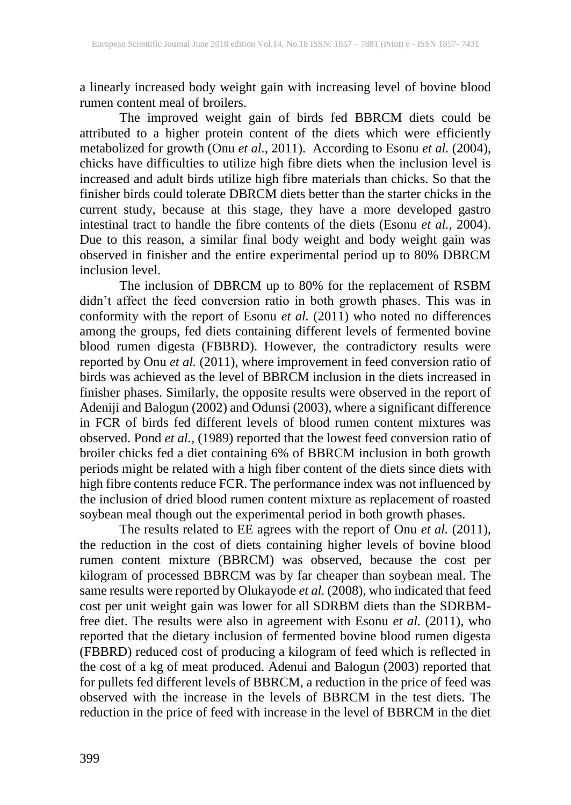a linearly increased body weight gain with increasing level of bovine blood rumen content meal of broilers.

The improved weight gain of birds fed BBRCM diets could be attributed to a higher protein content of the diets which were efficiently metabolized for growth (Onu *et al.,* 2011). According to Esonu *et al.* (2004), chicks have difficulties to utilize high fibre diets when the inclusion level is increased and adult birds utilize high fibre materials than chicks. So that the finisher birds could tolerate DBRCM diets better than the starter chicks in the current study, because at this stage, they have a more developed gastro intestinal tract to handle the fibre contents of the diets (Esonu *et al.,* 2004). Due to this reason, a similar final body weight and body weight gain was observed in finisher and the entire experimental period up to 80% DBRCM inclusion level.

The inclusion of DBRCM up to 80% for the replacement of RSBM didn't affect the feed conversion ratio in both growth phases. This was in conformity with the report of Esonu *et al.* (2011) who noted no differences among the groups, fed diets containing different levels of fermented bovine blood rumen digesta (FBBRD). However, the contradictory results were reported by Onu *et al.* (2011), where improvement in feed conversion ratio of birds was achieved as the level of BBRCM inclusion in the diets increased in finisher phases. Similarly, the opposite results were observed in the report of Adeniji and Balogun (2002) and Odunsi (2003), where a significant difference in FCR of birds fed different levels of blood rumen content mixtures was observed. Pond *et al.,* (1989) reported that the lowest feed conversion ratio of broiler chicks fed a diet containing 6% of BBRCM inclusion in both growth periods might be related with a high fiber content of the diets since diets with high fibre contents reduce FCR. The performance index was not influenced by the inclusion of dried blood rumen content mixture as replacement of roasted soybean meal though out the experimental period in both growth phases.

The results related to EE agrees with the report of Onu *et al.* (2011), the reduction in the cost of diets containing higher levels of bovine blood rumen content mixture (BBRCM) was observed, because the cost per kilogram of processed BBRCM was by far cheaper than soybean meal. The same results were reported by Olukayode *et al.* (2008), who indicated that feed cost per unit weight gain was lower for all SDRBM diets than the SDRBMfree diet. The results were also in agreement with Esonu *et al.* (2011), who reported that the dietary inclusion of fermented bovine blood rumen digesta (FBBRD) reduced cost of producing a kilogram of feed which is reflected in the cost of a kg of meat produced. Adenui and Balogun (2003) reported that for pullets fed different levels of BBRCM, a reduction in the price of feed was observed with the increase in the levels of BBRCM in the test diets. The reduction in the price of feed with increase in the level of BBRCM in the diet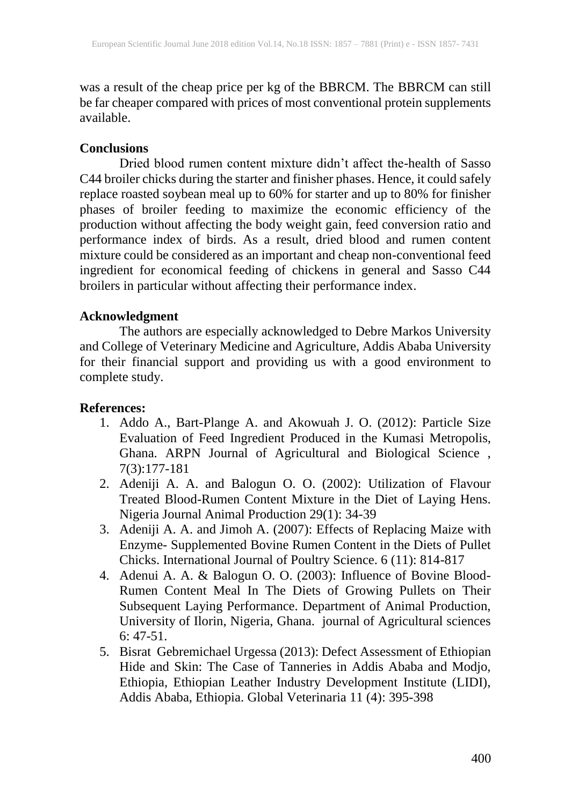was a result of the cheap price per kg of the BBRCM. The BBRCM can still be far cheaper compared with prices of most conventional protein supplements available.

## **Conclusions**

Dried blood rumen content mixture didn't affect the-health of Sasso C44 broiler chicks during the starter and finisher phases. Hence, it could safely replace roasted soybean meal up to 60% for starter and up to 80% for finisher phases of broiler feeding to maximize the economic efficiency of the production without affecting the body weight gain, feed conversion ratio and performance index of birds. As a result, dried blood and rumen content mixture could be considered as an important and cheap non-conventional feed ingredient for economical feeding of chickens in general and Sasso C44 broilers in particular without affecting their performance index.

## **Acknowledgment**

The authors are especially acknowledged to Debre Markos University and College of Veterinary Medicine and Agriculture, Addis Ababa University for their financial support and providing us with a good environment to complete study.

## **References:**

- 1. Addo A., Bart-Plange A. and Akowuah J. O. (2012): Particle Size Evaluation of Feed Ingredient Produced in the Kumasi Metropolis, Ghana. ARPN Journal of Agricultural and Biological Science , 7(3):177-181
- 2. Adeniji A. A. and Balogun O. O. (2002): Utilization of Flavour Treated Blood-Rumen Content Mixture in the Diet of Laying Hens. Nigeria Journal Animal Production 29(1): 34-39
- 3. Adeniji A. A. and Jimoh A. (2007): Effects of Replacing Maize with Enzyme- Supplemented Bovine Rumen Content in the Diets of Pullet Chicks. International Journal of Poultry Science. 6 (11): 814-817
- 4. Adenui A. A. & Balogun O. O. (2003): Influence of Bovine Blood-Rumen Content Meal In The Diets of Growing Pullets on Their Subsequent Laying Performance. Department of Animal Production, University of Ilorin, Nigeria, Ghana. journal of Agricultural sciences 6: 47-51.
- 5. Bisrat Gebremichael Urgessa (2013): Defect Assessment of Ethiopian Hide and Skin: The Case of Tanneries in Addis Ababa and Modjo, Ethiopia, Ethiopian Leather Industry Development Institute (LIDI), Addis Ababa, Ethiopia. Global Veterinaria 11 (4): 395-398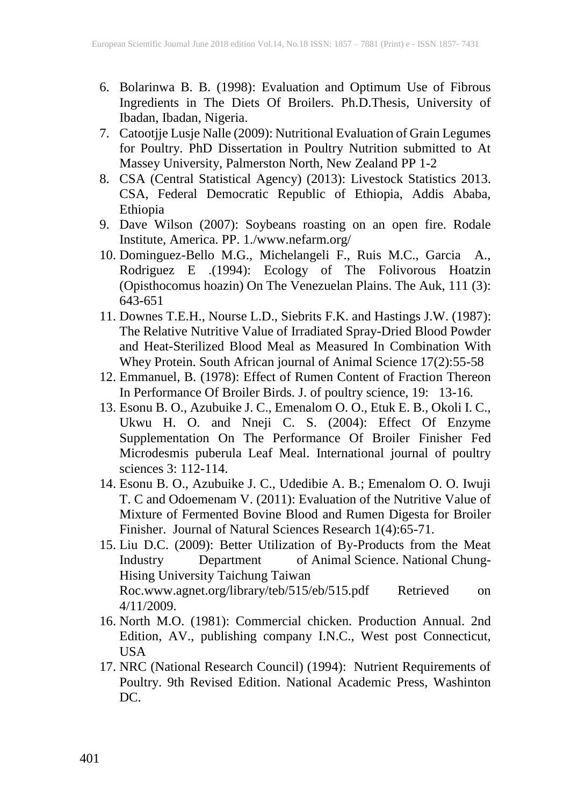- 6. Bolarinwa B. B. (1998): Evaluation and Optimum Use of Fibrous Ingredients in The Diets Of Broilers. Ph.D.Thesis, University of Ibadan, Ibadan, Nigeria.
- 7. Catootjje Lusje Nalle (2009): Nutritional Evaluation of Grain Legumes for Poultry. PhD Dissertation in Poultry Nutrition submitted to At Massey University, Palmerston North, New Zealand PP 1-2
- 8. CSA (Central Statistical Agency) (2013): Livestock Statistics 2013. CSA, Federal Democratic Republic of Ethiopia, Addis Ababa, Ethiopia
- 9. Dave Wilson (2007): Soybeans roasting on an open fire. Rodale Institute, America. PP. 1./www.nefarm.org/
- 10. Dominguez-Bello M.G., Michelangeli F., Ruis M.C., Garcia A., Rodriguez E .(1994): Ecology of The Folivorous Hoatzin (Opisthocomus hoazin) On The Venezuelan Plains. The Auk, 111 (3): 643-651
- 11. Downes T.E.H., Nourse L.D., Siebrits F.K. and Hastings J.W. (1987): The Relative Nutritive Value of Irradiated Spray-Dried Blood Powder and Heat-Sterilized Blood Meal as Measured In Combination With Whey Protein. South African journal of Animal Science 17(2):55-58
- 12. Emmanuel, B. (1978): Effect of Rumen Content of Fraction Thereon In Performance Of Broiler Birds. J. of poultry science, 19: 13-16.
- 13. Esonu B. O., Azubuike J. C., Emenalom O. O., Etuk E. B., Okoli I. C., Ukwu H. O. and Nneji C. S. (2004): Effect Of Enzyme Supplementation On The Performance Of Broiler Finisher Fed Microdesmis puberula Leaf Meal. International journal of poultry sciences 3: 112-114.
- 14. Esonu B. O., Azubuike J. C., Udedibie A. B.; Emenalom O. O. Iwuji T. C and Odoemenam V. (2011): Evaluation of the Nutritive Value of Mixture of Fermented Bovine Blood and Rumen Digesta for Broiler Finisher. Journal of Natural Sciences Research 1(4):65-71.
- 15. Liu D.C. (2009): Better Utilization of By-Products from the Meat<br>Industry Department of Animal Science. National Chung-Department of Animal Science. National Chung-Hising University Taichung Taiwan Roc.www.agnet.org/library/teb/515/eb/515.pdf Retrieved on 4/11/2009.
- 16. North M.O. (1981): Commercial chicken. Production Annual. 2nd Edition, AV., publishing company I.N.C., West post Connecticut, USA
- 17. NRC (National Research Council) (1994): Nutrient Requirements of Poultry. 9th Revised Edition. National Academic Press, Washinton DC.